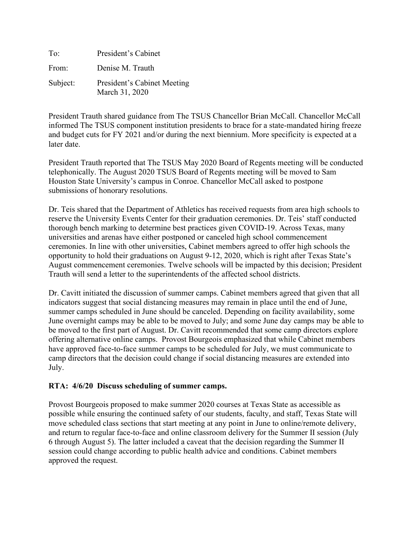| To:      | President's Cabinet                           |
|----------|-----------------------------------------------|
| From:    | Denise M. Trauth                              |
| Subject: | President's Cabinet Meeting<br>March 31, 2020 |

President Trauth shared guidance from The TSUS Chancellor Brian McCall. Chancellor McCall informed The TSUS component institution presidents to brace for a state-mandated hiring freeze and budget cuts for FY 2021 and/or during the next biennium. More specificity is expected at a later date.

President Trauth reported that The TSUS May 2020 Board of Regents meeting will be conducted telephonically. The August 2020 TSUS Board of Regents meeting will be moved to Sam Houston State University's campus in Conroe. Chancellor McCall asked to postpone submissions of honorary resolutions.

Dr. Teis shared that the Department of Athletics has received requests from area high schools to reserve the University Events Center for their graduation ceremonies. Dr. Teis' staff conducted thorough bench marking to determine best practices given COVID-19. Across Texas, many universities and arenas have either postponed or canceled high school commencement ceremonies. In line with other universities, Cabinet members agreed to offer high schools the opportunity to hold their graduations on August 9-12, 2020, which is right after Texas State's August commencement ceremonies. Twelve schools will be impacted by this decision; President Trauth will send a letter to the superintendents of the affected school districts.

Dr. Cavitt initiated the discussion of summer camps. Cabinet members agreed that given that all indicators suggest that social distancing measures may remain in place until the end of June, summer camps scheduled in June should be canceled. Depending on facility availability, some June overnight camps may be able to be moved to July; and some June day camps may be able to be moved to the first part of August. Dr. Cavitt recommended that some camp directors explore offering alternative online camps. Provost Bourgeois emphasized that while Cabinet members have approved face-to-face summer camps to be scheduled for July, we must communicate to camp directors that the decision could change if social distancing measures are extended into July.

## **RTA: 4/6/20 Discuss scheduling of summer camps.**

Provost Bourgeois proposed to make summer 2020 courses at Texas State as accessible as possible while ensuring the continued safety of our students, faculty, and staff, Texas State will move scheduled class sections that start meeting at any point in June to online/remote delivery, and return to regular face-to-face and online classroom delivery for the Summer II session (July 6 through August 5). The latter included a caveat that the decision regarding the Summer II session could change according to public health advice and conditions. Cabinet members approved the request.